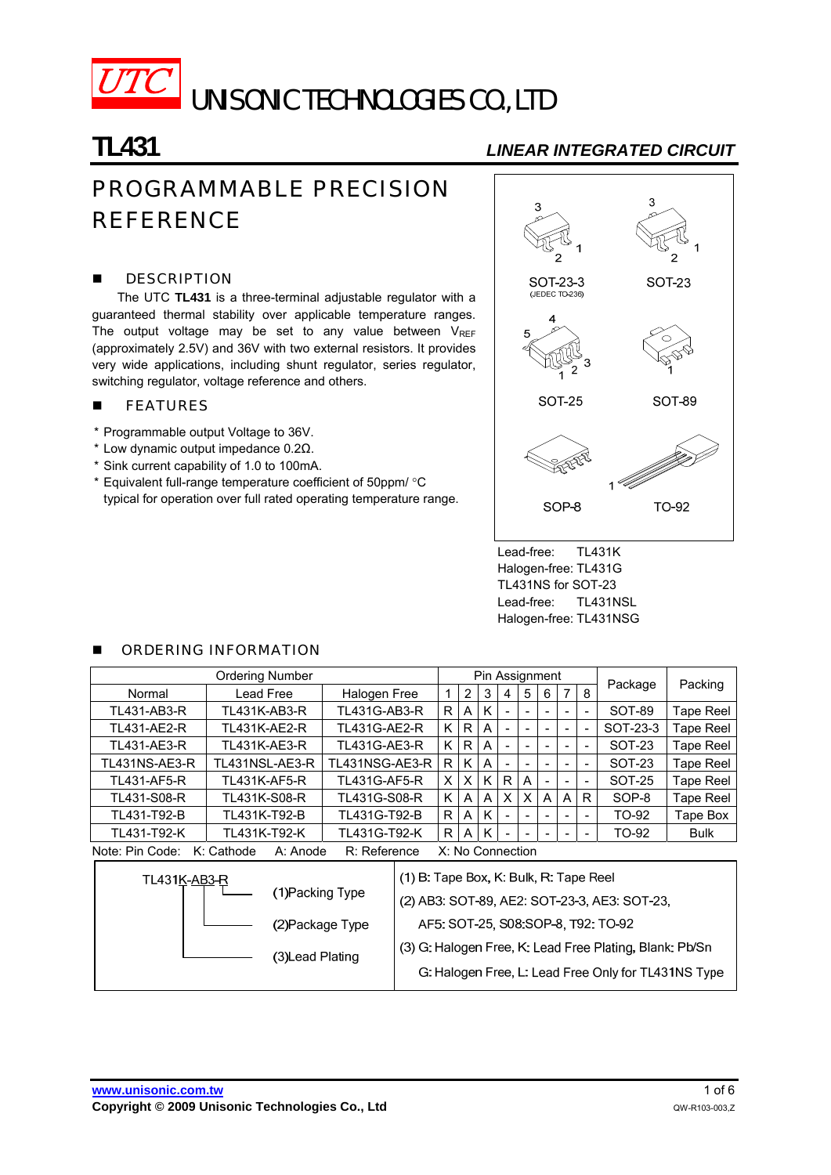

UNISONIC TECHNOLOGIES CO., LTD

# **TL431** *LINEAR INTEGRATED CIRCUIT*

# PROGRAMMABLE PRECISION **REFERENCE**

### **DESCRIPTION**

The UTC **TL431** is a three-terminal adjustable regulator with a guaranteed thermal stability over applicable temperature ranges. The output voltage may be set to any value between  $V_{REF}$ (approximately 2.5V) and 36V with two external resistors. It provides very wide applications, including shunt regulator, series regulator, switching regulator, voltage reference and others.

### **FEATURES**

- \* Programmable output Voltage to 36V.
- \* Low dynamic output impedance 0.2Ω.
- \* Sink current capability of 1.0 to 100mA.
- \* Equivalent full-range temperature coefficient of 50ppm/ °C typical for operation over full rated operating temperature range.



Lead-free: TL431K Halogen-free: TL431G TL431NS for SOT-23 Lead-free: TL431NSL Halogen-free: TL431NSG

### ORDERING INFORMATION

| <b>Ordering Number</b>                                                        |                     |                     |                                                                                  | Pin Assignment |              |   |                          |                          |   |                          | Packing                  |               |           |  |
|-------------------------------------------------------------------------------|---------------------|---------------------|----------------------------------------------------------------------------------|----------------|--------------|---|--------------------------|--------------------------|---|--------------------------|--------------------------|---------------|-----------|--|
| Normal                                                                        | Lead Free           | Halogen Free        |                                                                                  |                | 2            | 3 | 4                        | 5                        | 6 | 7                        | 8                        | Package       |           |  |
| TL431-AB3-R                                                                   | <b>TL431K-AB3-R</b> | TL431G-AB3-R        |                                                                                  | R              | A            | Κ | $\blacksquare$           | $\overline{\phantom{0}}$ |   |                          | $\overline{\phantom{a}}$ | SOT-89        | Tape Reel |  |
| <b>TL431-AE2-R</b>                                                            | <b>TL431K-AE2-R</b> | <b>TL431G-AE2-R</b> |                                                                                  | K.             | R            | A | $\blacksquare$           | $\overline{\phantom{a}}$ |   | ٠                        | $\blacksquare$           | SOT-23-3      | Tape Reel |  |
| <b>TL431-AE3-R</b>                                                            | <b>TL431K-AE3-R</b> | <b>TL431G-AE3-R</b> |                                                                                  | K.             | R I          | A | $\overline{\phantom{0}}$ |                          |   |                          |                          | SOT-23        | Tape Reel |  |
| <b>TL431NS-AE3-R</b>                                                          | TL431NSL-AE3-R      | TL431NSG-AE3-R      |                                                                                  | R              | K            | A | ۰                        | $\overline{\phantom{a}}$ |   | $\overline{\phantom{0}}$ | $\overline{\phantom{a}}$ | SOT-23        | Tape Reel |  |
| <b>TL431-AF5-R</b>                                                            | <b>TL431K-AF5-R</b> | <b>TL431G-AF5-R</b> |                                                                                  | X.             | $\times$ 1   | K | R                        | A                        |   |                          |                          | <b>SOT-25</b> | Tape Reel |  |
| TL431-S08-R                                                                   | TL431K-S08-R        | TL431G-S08-R        |                                                                                  | K              | A            | A | X                        | X                        | A | A                        | R.                       | SOP-8         | Tape Reel |  |
| TL431-T92-B                                                                   | TL431K-T92-B        | TL431G-T92-B        |                                                                                  | R              | A            | K | $\blacksquare$           |                          |   | ۰                        | $\overline{\phantom{a}}$ | TO-92         | Tape Box  |  |
| TL431-T92-K                                                                   | TL431K-T92-K        | TL431G-T92-K        |                                                                                  | R.             | $\mathsf{A}$ | Κ |                          |                          |   |                          | $\overline{\phantom{a}}$ | TO-92         | Bulk      |  |
| X: No Connection<br>Note: Pin Code:<br>K: Cathode<br>R: Reference<br>A: Anode |                     |                     |                                                                                  |                |              |   |                          |                          |   |                          |                          |               |           |  |
| <b>TL431K-AB3-R</b><br>(1) Packing Type                                       |                     |                     | (1) B: Tape Box, K: Bulk, R: Tape Reel<br>(2) AR3 SOT-89 AF2 SOT-23-3 AF3 SOT-23 |                |              |   |                          |                          |   |                          |                          |               |           |  |

|  | (1) Packing Type | (2) AB3: SOT-89, AE2: SOT-23-3, AE3: SOT-23.            |
|--|------------------|---------------------------------------------------------|
|  | (2) Package Type | AF5: SOT-25, S08:SOP-8, T92: TO-92                      |
|  | (3) Lead Plating | (3) G. Halogen Free, K. Lead Free Plating, Blank: Pb/Sn |
|  |                  | G: Halogen Free, L: Lead Free Only for TL431NS Type     |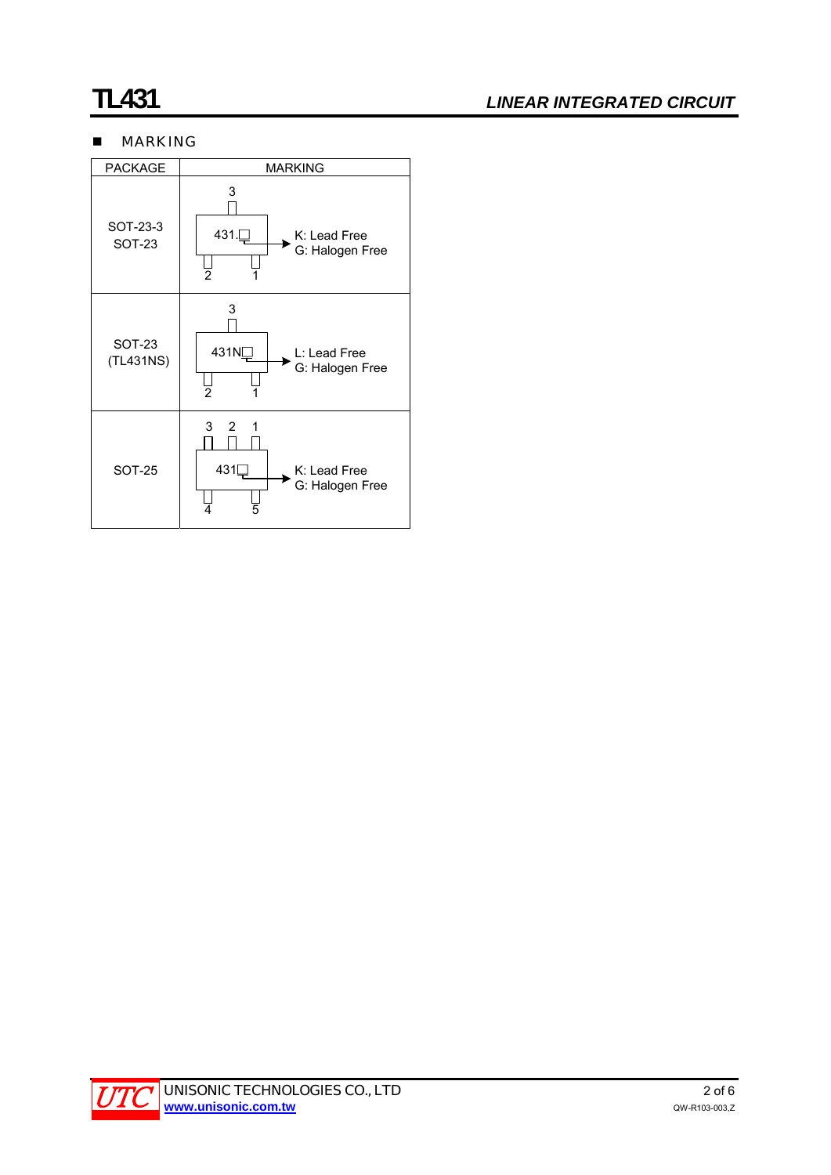# **TL431** *LINEAR INTEGRATED CIRCUIT*

# **MARKING**



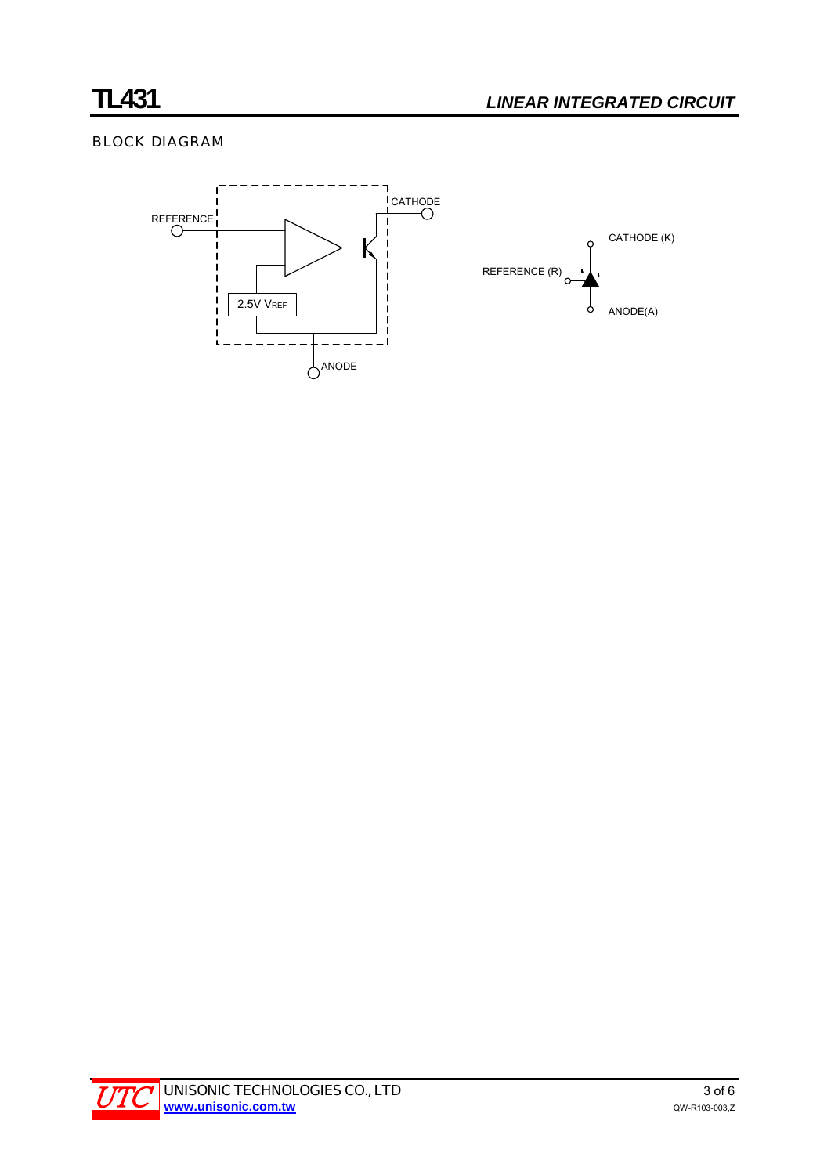# BLOCK DIAGRAM



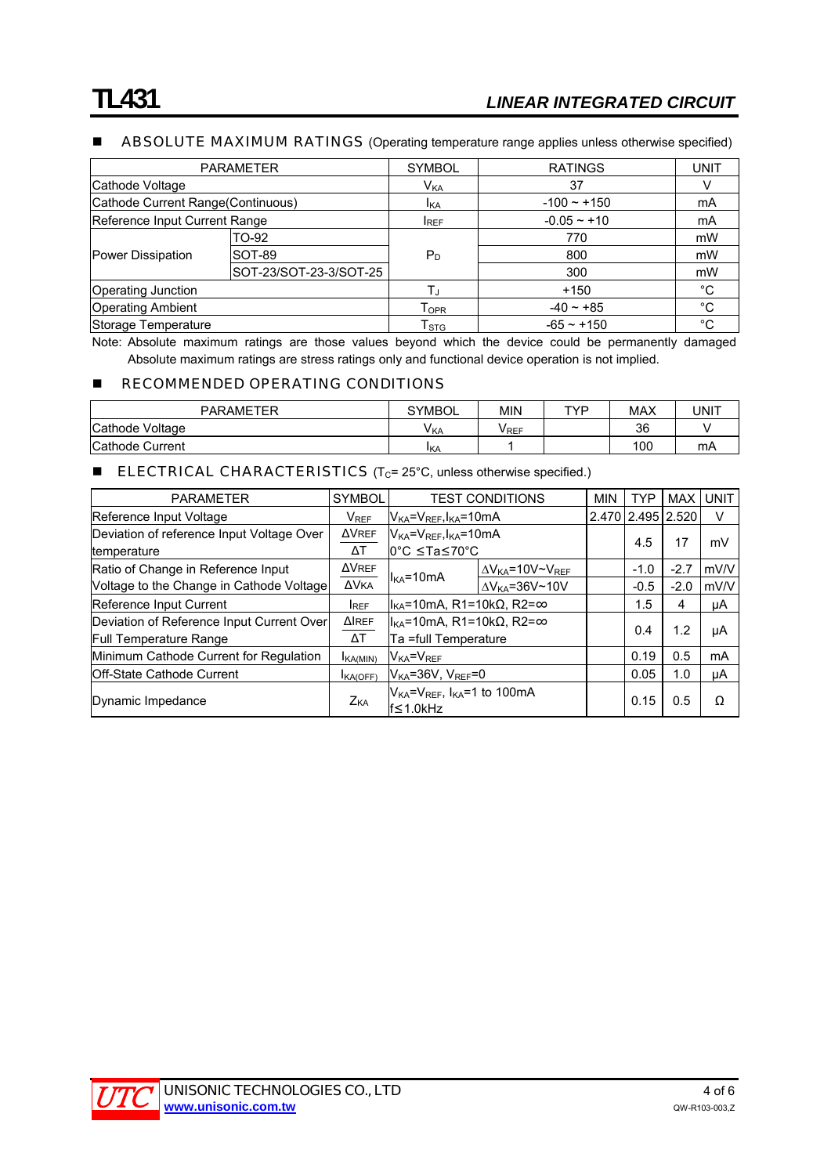#### **ABSOLUTE MAXIMUM RATINGS** (Operating temperature range applies unless otherwise specified)

| <b>PARAMETER</b>                  |                        | <b>SYMBOL</b>             | <b>RATINGS</b> | <b>UNIT</b> |
|-----------------------------------|------------------------|---------------------------|----------------|-------------|
| Cathode Voltage                   |                        | V <sub>KA</sub>           | 37             |             |
| Cathode Current Range(Continuous) |                        | <b>I</b> KA               | $-100 - +150$  | mA          |
| Reference Input Current Range     |                        | <b>IREF</b>               | $-0.05 - +10$  | mA          |
| Power Dissipation                 | TO-92                  |                           | 770            | mW          |
|                                   | SOT-89                 | $P_D$                     | 800            | mW          |
|                                   | SOT-23/SOT-23-3/SOT-25 |                           | 300            | mW          |
| <b>Operating Junction</b>         |                        | Tı                        | $+150$         | $^{\circ}C$ |
| <b>Operating Ambient</b>          |                        | Topr                      | $-40 - +85$    | $^{\circ}C$ |
| Storage Temperature               |                        | $\mathsf{T}_{\text{STG}}$ | $-65 - +150$   | °C          |

Note: Absolute maximum ratings are those values beyond which the device could be permanently damaged Absolute maximum ratings are stress ratings only and functional device operation is not implied.

#### **RECOMMENDED OPERATING CONDITIONS**

| <b>PARAMETER</b> | <b>SYMBOL</b> | MIN         | TVD | <b>MAX</b> | UNIT |
|------------------|---------------|-------------|-----|------------|------|
| Cathode Voltage  | <b>VKA</b>    | <b>VREF</b> |     | 36         |      |
| Cathode Current  | IKA           |             |     | 100        | mA   |

#### **ELECTRICAL CHARACTERISTICS** ( $T_c$ = 25 $^{\circ}$ C, unless otherwise specified.)

| <b>PARAMETER</b>                                                           | <b>SYMBOL</b>      | <b>TEST CONDITIONS</b>                                                                                |                                       | <b>MIN</b> | <b>TYP</b>        | <b>MAX</b> | <b>UNIT</b> |
|----------------------------------------------------------------------------|--------------------|-------------------------------------------------------------------------------------------------------|---------------------------------------|------------|-------------------|------------|-------------|
| Reference Input Voltage                                                    | $V_{REF}$          | $V_{KA} = V_{REF}$ , $I_{KA} = 10$ mA                                                                 |                                       |            | 2.470 2.495 2.520 |            | v           |
| Deviation of reference Input Voltage Over<br>temperature                   | <b>AVREF</b><br>ΔT | $V_{KA} = V_{REF}$ , $I_{KA} = 10$ mA<br>l0°C ≤Ta≤70°C                                                |                                       |            | 4.5               | 17         | mV          |
| Ratio of Change in Reference Input                                         | <b>AVREF</b>       |                                                                                                       | $\Delta V_{KA}$ =10V~V <sub>REF</sub> |            | $-1.0$            | $-2.7$     | mV/V        |
| Voltage to the Change in Cathode Voltage                                   | <b>AVKA</b>        | $I_{KA} = 10mA$                                                                                       | $\Delta V_{KA} = 36V \sim 10V$        |            | $-0.5$            | $-2.0$     | mV/V        |
| Reference Input Current                                                    | <b>IREF</b>        | $ I_{KA}=10mA, R1=10k\Omega, R2=\infty$                                                               |                                       | 1.5        | 4                 | μA         |             |
| Deviation of Reference Input Current Over<br><b>Full Temperature Range</b> | <b>AIREF</b><br>ΔT | $ I_{KA}=10mA, R1=10k\Omega, R2=\infty$<br>Ta =full Temperature                                       |                                       | 0.4        | 1.2               | μA         |             |
| Minimum Cathode Current for Regulation                                     | <b>KA(MIN)</b>     | $V_{KA} = V_{REF}$                                                                                    |                                       | 0.19       | 0.5               | mA         |             |
| <b>IOff-State Cathode Current</b>                                          | KA(OFF)            | $V_{KA} = 36V$ , $V_{RFF} = 0$                                                                        |                                       |            | 0.05              | 1.0        | μA          |
| Dynamic Impedance                                                          | Z <sub>KA</sub>    | V <sub>KA</sub> =V <sub>REF</sub> , I <sub>KA</sub> =1 to 100mA<br>$\mathsf{If} \leq 1.0\mathsf{kHz}$ |                                       |            | 0.15              | 0.5        | Ω           |

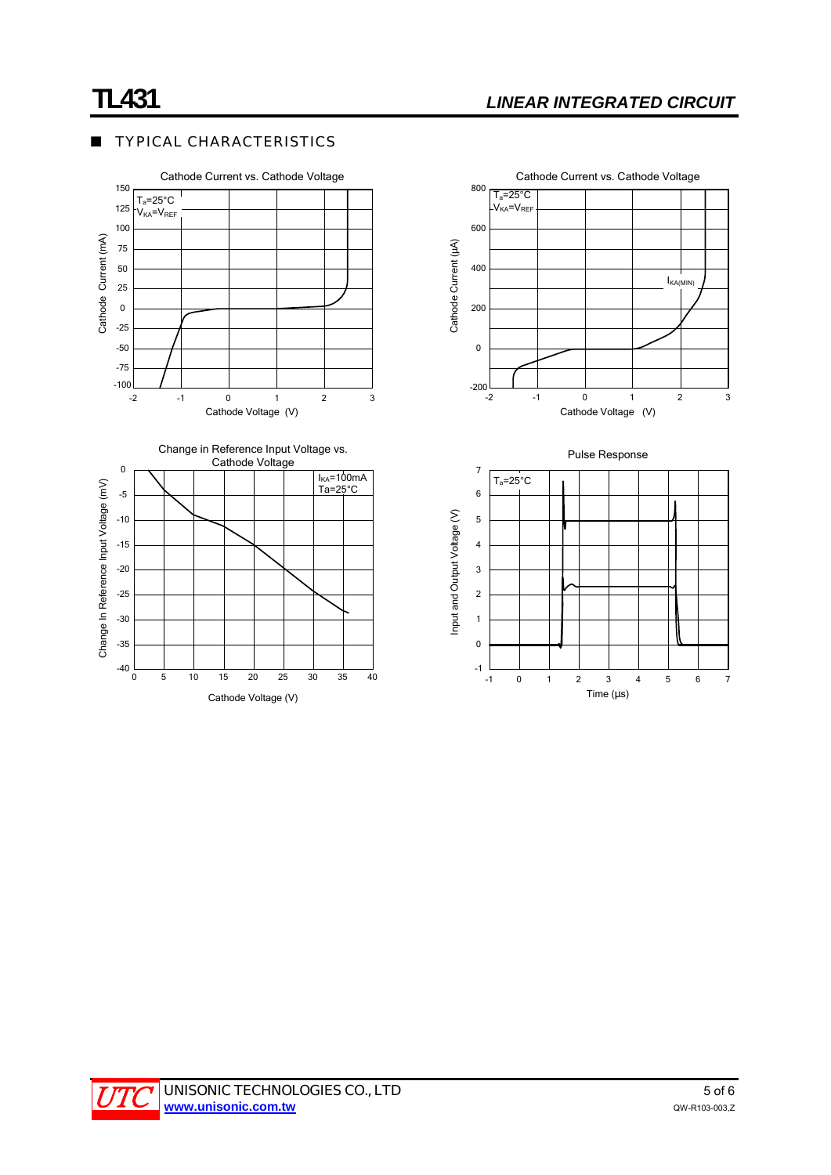Cathode Current vs. Cathode Voltage

## **TYPICAL CHARACTERISTICS**